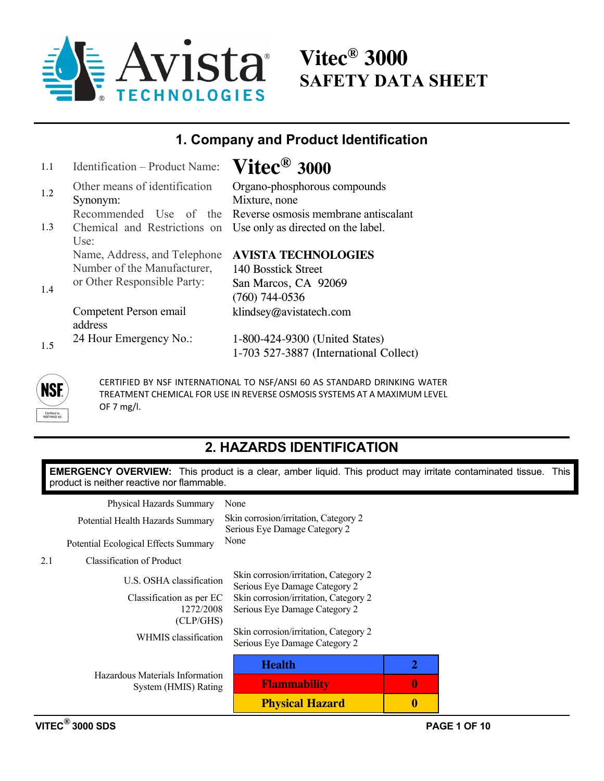

**Vitec® 3000 SAFETY DATA SHEET** 

### **1. Company and Product Identification**

| 1.1 | Identification - Product Name: | $\mathbf{V}\mathbf{itec}^{\circledR}$ 3000                      |
|-----|--------------------------------|-----------------------------------------------------------------|
| 1.2 | Other means of identification  | Organo-phosphorous compounds                                    |
|     | Synonym:                       | Mixture, none                                                   |
|     |                                | Recommended Use of the Reverse osmosis membrane antiscalant     |
| 1.3 |                                | Chemical and Restrictions on Use only as directed on the label. |
|     | Use:                           |                                                                 |
|     | Name, Address, and Telephone   | <b>AVISTA TECHNOLOGIES</b>                                      |
|     | Number of the Manufacturer,    | 140 Bosstick Street                                             |
| 1.4 | or Other Responsible Party:    | San Marcos, CA 92069                                            |
|     |                                | $(760)$ 744-0536                                                |
|     | Competent Person email         | klindsey@avistatech.com                                         |
|     | address                        |                                                                 |
| 1.5 | 24 Hour Emergency No.:         | 1-800-424-9300 (United States)                                  |
|     |                                | 1-703 527-3887 (International Collect)                          |
|     |                                |                                                                 |



CERTIFIED BY NSF INTERNATIONAL TO NSF/ANSI 60 AS STANDARD DRINKING WATER TREATMENT CHEMICAL FOR USE IN REVERSE OSMOSIS SYSTEMS AT A MAXIMUM LEVEL OF 7 mg/l.

## **2. HAZARDS IDENTIFICATION**

**EMERGENCY OVERVIEW:** This product is a clear, amber liquid. This product may irritate contaminated tissue. This product is neither reactive nor flammable.

| Physical Hazards Summary                                | None                                                                   |                  |
|---------------------------------------------------------|------------------------------------------------------------------------|------------------|
| Potential Health Hazards Summary                        | Skin corrosion/irritation, Category 2<br>Serious Eye Damage Category 2 |                  |
| Potential Ecological Effects Summary                    | None                                                                   |                  |
| 2.1<br>Classification of Product                        |                                                                        |                  |
| U.S. OSHA classification                                | Skin corrosion/irritation, Category 2<br>Serious Eye Damage Category 2 |                  |
| Classification as per EC<br>1272/2008<br>(CLP/GHS)      | Skin corrosion/irritation, Category 2<br>Serious Eye Damage Category 2 |                  |
| WHMIS classification                                    | Skin corrosion/irritation, Category 2<br>Serious Eye Damage Category 2 |                  |
|                                                         | <b>Health</b>                                                          | 2                |
| Hazardous Materials Information<br>System (HMIS) Rating | <b>Flammability</b>                                                    | 0                |
|                                                         | <b>Physical Hazard</b>                                                 | $\boldsymbol{0}$ |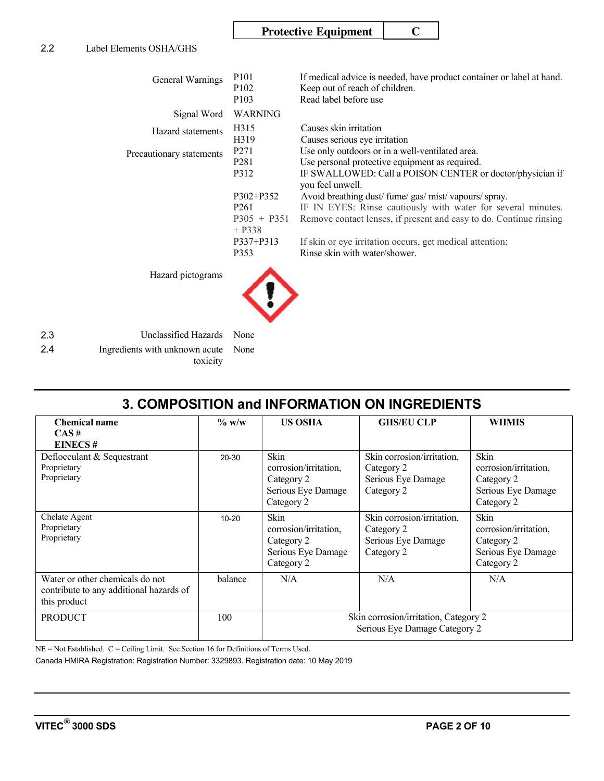### **Protective Equipment | C**

| General Warnings         | P <sub>10</sub> 1<br>P <sub>102</sub><br>P <sub>103</sub>      | If medical advice is needed, have product container or label at hand.<br>Keep out of reach of children.<br>Read label before use                                                        |
|--------------------------|----------------------------------------------------------------|-----------------------------------------------------------------------------------------------------------------------------------------------------------------------------------------|
| Signal Word              | <b>WARNING</b>                                                 |                                                                                                                                                                                         |
| Hazard statements        | H315<br>H319                                                   | Causes skin irritation<br>Causes serious eye irritation                                                                                                                                 |
| Precautionary statements | P <sub>271</sub><br>P <sub>281</sub><br>P312                   | Use only outdoors or in a well-ventilated area.<br>Use personal protective equipment as required.<br>IF SWALLOWED: Call a POISON CENTER or doctor/physician if<br>you feel unwell.      |
|                          | $P302 + P352$<br>P <sub>261</sub><br>$P305 + P351$<br>$+ P338$ | Avoid breathing dust/fume/gas/mist/vapours/spray.<br>IF IN EYES: Rinse cautiously with water for several minutes.<br>Remove contact lenses, if present and easy to do. Continue rinsing |
|                          | $P337 + P313$<br>P353                                          | If skin or eye irritation occurs, get medical attention;<br>Rinse skin with water/shower.                                                                                               |
| Hazard pictograms        |                                                                |                                                                                                                                                                                         |

2.3 Unclassified Hazards None 2.4 Ingredients with unknown acute None toxicity

## **3. COMPOSITION and INFORMATION ON INGREDIENTS**

| <b>Chemical name</b><br>CAS#                                                               | $\%$ w/w  | <b>US OSHA</b>                                                                         | <b>GHS/EU CLP</b>                                                            | <b>WHMIS</b>                                                                           |  |  |
|--------------------------------------------------------------------------------------------|-----------|----------------------------------------------------------------------------------------|------------------------------------------------------------------------------|----------------------------------------------------------------------------------------|--|--|
| <b>EINECS#</b>                                                                             |           |                                                                                        |                                                                              |                                                                                        |  |  |
| Deflocculant & Sequestrant<br>Proprietary<br>Proprietary                                   | 20-30     | <b>Skin</b><br>corrosion/irritation,<br>Category 2<br>Serious Eye Damage<br>Category 2 | Skin corrosion/irritation,<br>Category 2<br>Serious Eye Damage<br>Category 2 | Skin<br>corrosion/irritation,<br>Category 2<br>Serious Eye Damage<br>Category 2        |  |  |
| Chelate Agent<br>Proprietary<br>Proprietary                                                | $10 - 20$ | <b>Skin</b><br>corrosion/irritation,<br>Category 2<br>Serious Eye Damage<br>Category 2 | Skin corrosion/irritation,<br>Category 2<br>Serious Eye Damage<br>Category 2 | <b>Skin</b><br>corrosion/irritation,<br>Category 2<br>Serious Eye Damage<br>Category 2 |  |  |
| Water or other chemicals do not<br>contribute to any additional hazards of<br>this product | balance   | N/A                                                                                    | N/A                                                                          | N/A                                                                                    |  |  |
| <b>PRODUCT</b>                                                                             | 100       | Skin corrosion/irritation, Category 2<br>Serious Eye Damage Category 2                 |                                                                              |                                                                                        |  |  |

NE = Not Established. C = Ceiling Limit. See Section 16 for Definitions of Terms Used.

Canada HMIRA Registration: Registration Number: 3329893. Registration date: 10 May 2019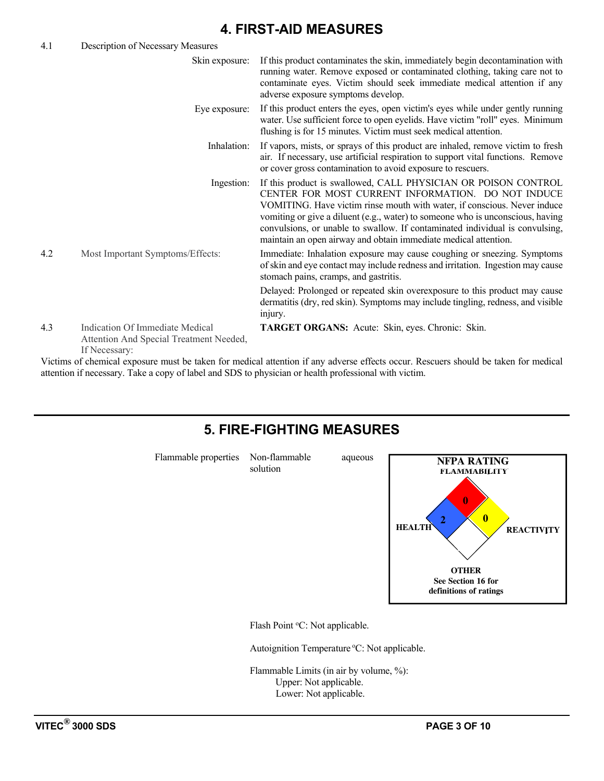### **4. FIRST-AID MEASURES**

| 4.1 | Description of Necessary Measures                                                           |                                                                                                                                                                                                                                                                                                                                                                                                                                       |
|-----|---------------------------------------------------------------------------------------------|---------------------------------------------------------------------------------------------------------------------------------------------------------------------------------------------------------------------------------------------------------------------------------------------------------------------------------------------------------------------------------------------------------------------------------------|
|     | Skin exposure:                                                                              | If this product contaminates the skin, immediately begin decontamination with<br>running water. Remove exposed or contaminated clothing, taking care not to<br>contaminate eyes. Victim should seek immediate medical attention if any<br>adverse exposure symptoms develop.                                                                                                                                                          |
|     | Eye exposure:                                                                               | If this product enters the eyes, open victim's eyes while under gently running<br>water. Use sufficient force to open eyelids. Have victim "roll" eyes. Minimum<br>flushing is for 15 minutes. Victim must seek medical attention.                                                                                                                                                                                                    |
|     | Inhalation:                                                                                 | If vapors, mists, or sprays of this product are inhaled, remove victim to fresh<br>air. If necessary, use artificial respiration to support vital functions. Remove<br>or cover gross contamination to avoid exposure to rescuers.                                                                                                                                                                                                    |
|     | Ingestion:                                                                                  | If this product is swallowed, CALL PHYSICIAN OR POISON CONTROL<br>CENTER FOR MOST CURRENT INFORMATION. DO NOT INDUCE<br>VOMITING. Have victim rinse mouth with water, if conscious. Never induce<br>vomiting or give a diluent (e.g., water) to someone who is unconscious, having<br>convulsions, or unable to swallow. If contaminated individual is convulsing,<br>maintain an open airway and obtain immediate medical attention. |
| 4.2 | Most Important Symptoms/Effects:                                                            | Immediate: Inhalation exposure may cause coughing or sneezing. Symptoms<br>of skin and eye contact may include redness and irritation. Ingestion may cause<br>stomach pains, cramps, and gastritis.                                                                                                                                                                                                                                   |
|     |                                                                                             | Delayed: Prolonged or repeated skin overexposure to this product may cause<br>dermatitis (dry, red skin). Symptoms may include tingling, redness, and visible<br>injury.                                                                                                                                                                                                                                                              |
| 4.3 | Indication Of Immediate Medical<br>Attention And Special Treatment Needed,<br>If Necessary: | TARGET ORGANS: Acute: Skin, eyes. Chronic: Skin.                                                                                                                                                                                                                                                                                                                                                                                      |

Victims of chemical exposure must be taken for medical attention if any adverse effects occur. Rescuers should be taken for medical attention if necessary. Take a copy of label and SDS to physician or health professional with victim.

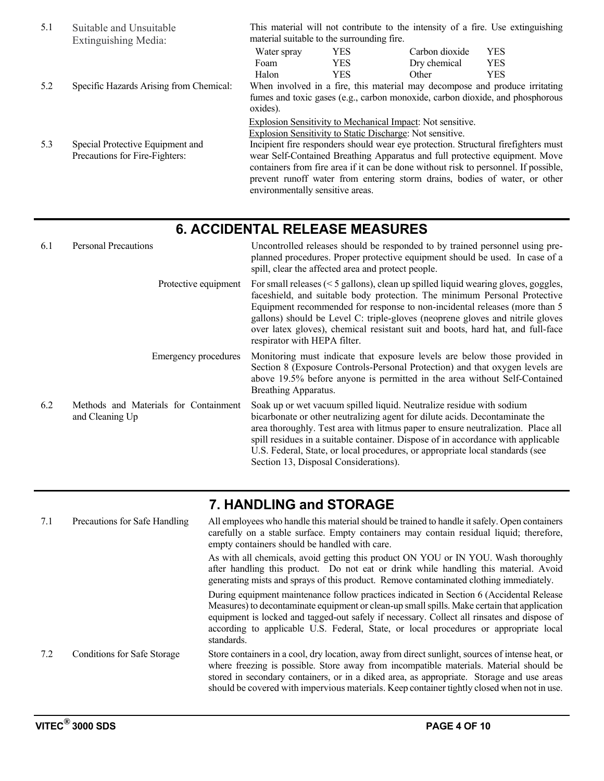| 5.1 | Suitable and Unsuitable<br>Extinguishing Media:                    | This material will not contribute to the intensity of a fire. Use extinguishing<br>material suitable to the surrounding fire.                                                                                                                                                                                                                                              |                                                                                                                         |                |            |  |
|-----|--------------------------------------------------------------------|----------------------------------------------------------------------------------------------------------------------------------------------------------------------------------------------------------------------------------------------------------------------------------------------------------------------------------------------------------------------------|-------------------------------------------------------------------------------------------------------------------------|----------------|------------|--|
|     |                                                                    | Water spray                                                                                                                                                                                                                                                                                                                                                                | <b>YES</b>                                                                                                              | Carbon dioxide | <b>YES</b> |  |
|     |                                                                    | Foam                                                                                                                                                                                                                                                                                                                                                                       | <b>YES</b>                                                                                                              | Dry chemical   | <b>YES</b> |  |
|     |                                                                    | Halon                                                                                                                                                                                                                                                                                                                                                                      | <b>YES</b>                                                                                                              | Other          | <b>YES</b> |  |
| 5.2 | Specific Hazards Arising from Chemical:                            | When involved in a fire, this material may decompose and produce irritating<br>fumes and toxic gases (e.g., carbon monoxide, carbon dioxide, and phosphorous<br>oxides).                                                                                                                                                                                                   |                                                                                                                         |                |            |  |
|     |                                                                    |                                                                                                                                                                                                                                                                                                                                                                            | Explosion Sensitivity to Mechanical Impact: Not sensitive.<br>Explosion Sensitivity to Static Discharge: Not sensitive. |                |            |  |
| 5.3 | Special Protective Equipment and<br>Precautions for Fire-Fighters: | Incipient fire responders should wear eye protection. Structural firefighters must<br>wear Self-Contained Breathing Apparatus and full protective equipment. Move<br>containers from fire area if it can be done without risk to personnel. If possible,<br>prevent runoff water from entering storm drains, bodies of water, or other<br>environmentally sensitive areas. |                                                                                                                         |                |            |  |

## **6. ACCIDENTAL RELEASE MEASURES**

| 6.1 | <b>Personal Precautions</b>                              | Uncontrolled releases should be responded to by trained personnel using pre-<br>planned procedures. Proper protective equipment should be used. In case of a<br>spill, clear the affected area and protect people.                                                                                                                                                                                                                                    |  |  |  |
|-----|----------------------------------------------------------|-------------------------------------------------------------------------------------------------------------------------------------------------------------------------------------------------------------------------------------------------------------------------------------------------------------------------------------------------------------------------------------------------------------------------------------------------------|--|--|--|
|     | Protective equipment                                     | For small releases $(< 5$ gallons), clean up spilled liquid wearing gloves, goggles,<br>faceshield, and suitable body protection. The minimum Personal Protective<br>Equipment recommended for response to non-incidental releases (more than 5<br>gallons) should be Level C: triple-gloves (neoprene gloves and nitrile gloves<br>over latex gloves), chemical resistant suit and boots, hard hat, and full-face<br>respirator with HEPA filter.    |  |  |  |
|     | Emergency procedures                                     | Monitoring must indicate that exposure levels are below those provided in<br>Section 8 (Exposure Controls-Personal Protection) and that oxygen levels are<br>above 19.5% before anyone is permitted in the area without Self-Contained<br>Breathing Apparatus.                                                                                                                                                                                        |  |  |  |
| 6.2 | Methods and Materials for Containment<br>and Cleaning Up | Soak up or wet vacuum spilled liquid. Neutralize residue with sodium<br>bicarbonate or other neutralizing agent for dilute acids. Decontaminate the<br>area thoroughly. Test area with litmus paper to ensure neutralization. Place all<br>spill residues in a suitable container. Dispose of in accordance with applicable<br>U.S. Federal, State, or local procedures, or appropriate local standards (see<br>Section 13, Disposal Considerations). |  |  |  |

## **7. HANDLING and STORAGE**

| 7.1 | Precautions for Safe Handling      | All employees who handle this material should be trained to handle it safely. Open containers<br>carefully on a stable surface. Empty containers may contain residual liquid; therefore,<br>empty containers should be handled with care.                                                                                                                                                      |
|-----|------------------------------------|------------------------------------------------------------------------------------------------------------------------------------------------------------------------------------------------------------------------------------------------------------------------------------------------------------------------------------------------------------------------------------------------|
|     |                                    | As with all chemicals, avoid getting this product ON YOU or IN YOU. Wash thoroughly<br>after handling this product. Do not eat or drink while handling this material. Avoid<br>generating mists and sprays of this product. Remove contaminated clothing immediately.                                                                                                                          |
|     |                                    | During equipment maintenance follow practices indicated in Section 6 (Accidental Release<br>Measures) to decontaminate equipment or clean-up small spills. Make certain that application<br>equipment is locked and tagged-out safely if necessary. Collect all rinsates and dispose of<br>according to applicable U.S. Federal, State, or local procedures or appropriate local<br>standards. |
| 7.2 | <b>Conditions for Safe Storage</b> | Store containers in a cool, dry location, away from direct sunlight, sources of intense heat, or<br>where freezing is possible. Store away from incompatible materials. Material should be<br>stored in secondary containers, or in a diked area, as appropriate. Storage and use areas<br>should be covered with impervious materials. Keep container tightly closed when not in use.         |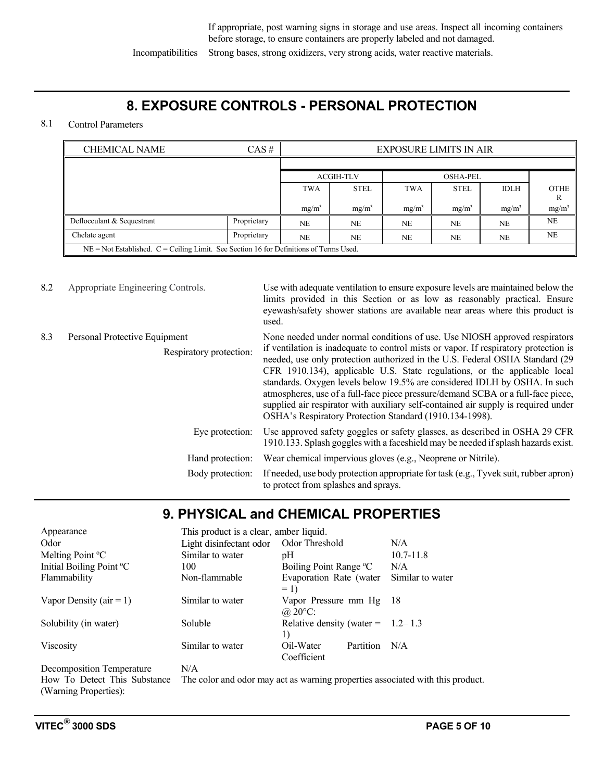Incompatibilities Strong bases, strong oxidizers, very strong acids, water reactive materials.

### **8. EXPOSURE CONTROLS - PERSONAL PROTECTION**

### 8.1 Control Parameters

| <b>CHEMICAL NAME</b>                                                                       | <b>EXPOSURE LIMITS IN AIR</b> |            |                   |            |                 |                   |                   |
|--------------------------------------------------------------------------------------------|-------------------------------|------------|-------------------|------------|-----------------|-------------------|-------------------|
|                                                                                            |                               |            |                   |            |                 |                   |                   |
|                                                                                            |                               |            | <b>ACGIH-TLV</b>  |            | <b>OSHA-PEL</b> |                   |                   |
|                                                                                            |                               | <b>TWA</b> | <b>STEL</b>       | <b>TWA</b> | <b>STEL</b>     | <b>IDLH</b>       | OTHE<br>R         |
|                                                                                            |                               | $mg/m^3$   | mg/m <sup>3</sup> | $mg/m^3$   | $mg/m^3$        | mg/m <sup>3</sup> | mg/m <sup>3</sup> |
| Deflocculant & Sequestrant                                                                 | Proprietary                   | <b>NE</b>  | <b>NE</b>         | <b>NE</b>  | <b>NE</b>       | NE                | <b>NE</b>         |
| Chelate agent                                                                              | Proprietary                   | <b>NE</b>  | <b>NE</b>         | NE         | NE              | NE                | NE                |
| $NE = Not$ Established. $C = Ceiling$ Limit. See Section 16 for Definitions of Terms Used. |                               |            |                   |            |                 |                   |                   |

| 8.2                     | Appropriate Engineering Controls. | Use with adequate ventilation to ensure exposure levels are maintained below the<br>limits provided in this Section or as low as reasonably practical. Ensure<br>eyewash/safety shower stations are available near areas where this product is<br>used.                                                                                                                                                                                                                                                                                                             |
|-------------------------|-----------------------------------|---------------------------------------------------------------------------------------------------------------------------------------------------------------------------------------------------------------------------------------------------------------------------------------------------------------------------------------------------------------------------------------------------------------------------------------------------------------------------------------------------------------------------------------------------------------------|
| 8.3                     | Personal Protective Equipment     | None needed under normal conditions of use. Use NIOSH approved respirators                                                                                                                                                                                                                                                                                                                                                                                                                                                                                          |
| Respiratory protection: |                                   | if ventilation is inadequate to control mists or vapor. If respiratory protection is<br>needed, use only protection authorized in the U.S. Federal OSHA Standard (29<br>CFR 1910.134), applicable U.S. State regulations, or the applicable local<br>standards. Oxygen levels below 19.5% are considered IDLH by OSHA. In such<br>atmospheres, use of a full-face piece pressure/demand SCBA or a full-face piece,<br>supplied air respirator with auxiliary self-contained air supply is required under<br>OSHA's Respiratory Protection Standard (1910.134-1998). |
|                         | Eye protection:                   | Use approved safety goggles or safety glasses, as described in OSHA 29 CFR<br>1910.133. Splash goggles with a faceshield may be needed if splash hazards exist.                                                                                                                                                                                                                                                                                                                                                                                                     |
|                         | Hand protection:                  | Wear chemical impervious gloves (e.g., Neoprene or Nitrile).                                                                                                                                                                                                                                                                                                                                                                                                                                                                                                        |
|                         | Body protection:                  | If needed, use body protection appropriate for task (e.g., Tyvek suit, rubber apron)<br>to protect from splashes and sprays.                                                                                                                                                                                                                                                                                                                                                                                                                                        |

## **9. PHYSICAL and CHEMICAL PROPERTIES**

| Appearance                   | This product is a clear, amber liquid.                                  |                                              |                  |  |  |
|------------------------------|-------------------------------------------------------------------------|----------------------------------------------|------------------|--|--|
| Odor                         | Light disinfectant odor                                                 | Odor Threshold                               | N/A              |  |  |
| Melting Point <sup>o</sup> C | Similar to water<br>pH                                                  |                                              | $10.7 - 11.8$    |  |  |
| Initial Boiling Point °C     | 100                                                                     | Boiling Point Range °C                       | N/A              |  |  |
| Flammability                 | Non-flammable                                                           | Evaporation Rate (water<br>$= 1$             | Similar to water |  |  |
| Vapor Density ( $air = 1$ )  | Similar to water                                                        | Vapor Pressure mm Hg 18<br>@ $20^{\circ}$ C: |                  |  |  |
| Solubility (in water)        | Soluble                                                                 | Relative density (water = $1.2-1.3$<br>1)    |                  |  |  |
| Viscosity                    | Similar to water                                                        | Partition<br>Oil-Water<br>N/A<br>Coefficient |                  |  |  |
| Decomposition Temperature    | N/A                                                                     |                                              |                  |  |  |
| How To Detect This Substance | The color and odor may act as warning properties associated with this p |                                              |                  |  |  |

How To Detect This Substance The color and odor may act as warning properties associated with this product. (Warning Properties):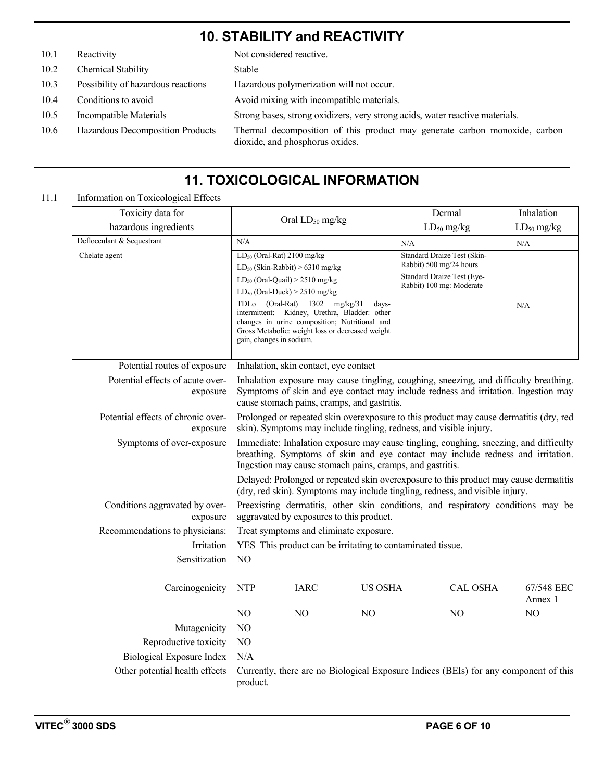### **10. STABILITY and REACTIVITY**

10.1 Reactivity Not considered reactive.

- 10.2 Chemical Stability Stable
- 10.3 Possibility of hazardous reactions Hazardous polymerization will not occur.
- 
- 
- 

10.4 Conditions to avoid Avoid mixing with incompatible materials. 10.5 Incompatible Materials Strong bases, strong oxidizers, very strong acids, water reactive materials. 10.6 Hazardous Decomposition Products Thermal decomposition of this product may generate carbon monoxide, carbon dioxide, and phosphorus oxides.

# **11. TOXICOLOGICAL INFORMATION**

### 11.1 Information on Toxicological Effects

| Toxicity data for                              |                                                                                                                                                                                                                                                                                                                                                                                                                |                                                                                                                                                                                                                                                                                                                                                                                  | Dermal         | Inhalation                                                                                                       |                       |
|------------------------------------------------|----------------------------------------------------------------------------------------------------------------------------------------------------------------------------------------------------------------------------------------------------------------------------------------------------------------------------------------------------------------------------------------------------------------|----------------------------------------------------------------------------------------------------------------------------------------------------------------------------------------------------------------------------------------------------------------------------------------------------------------------------------------------------------------------------------|----------------|------------------------------------------------------------------------------------------------------------------|-----------------------|
| hazardous ingredients                          |                                                                                                                                                                                                                                                                                                                                                                                                                | Oral LD <sub>50</sub> mg/kg                                                                                                                                                                                                                                                                                                                                                      |                | $LD_{50}$ mg/kg                                                                                                  | $LD_{50}$ mg/kg       |
| Deflocculant & Sequestrant                     | N/A                                                                                                                                                                                                                                                                                                                                                                                                            |                                                                                                                                                                                                                                                                                                                                                                                  |                | N/A                                                                                                              | N/A                   |
| Chelate agent                                  |                                                                                                                                                                                                                                                                                                                                                                                                                | $LD_{50}$ (Oral-Rat) 2100 mg/kg<br>$LD_{50}$ (Skin-Rabbit) > 6310 mg/kg<br>$LD_{50}$ (Oral-Quail) > 2510 mg/kg<br>$LD_{50}$ (Oral-Duck) > 2510 mg/kg<br>TDLo (Oral-Rat) 1302 mg/kg/31<br>days-<br>intermittent: Kidney, Urethra, Bladder: other<br>changes in urine composition; Nutritional and<br>Gross Metabolic: weight loss or decreased weight<br>gain, changes in sodium. |                | Standard Draize Test (Skin-<br>Rabbit) 500 mg/24 hours<br>Standard Draize Test (Eye-<br>Rabbit) 100 mg: Moderate | N/A                   |
| Potential routes of exposure                   |                                                                                                                                                                                                                                                                                                                                                                                                                | Inhalation, skin contact, eye contact                                                                                                                                                                                                                                                                                                                                            |                |                                                                                                                  |                       |
| Potential effects of acute over-<br>exposure   | Inhalation exposure may cause tingling, coughing, sneezing, and difficulty breathing.<br>Symptoms of skin and eye contact may include redness and irritation. Ingestion may<br>cause stomach pains, cramps, and gastritis.                                                                                                                                                                                     |                                                                                                                                                                                                                                                                                                                                                                                  |                |                                                                                                                  |                       |
| Potential effects of chronic over-<br>exposure | Prolonged or repeated skin overexposure to this product may cause dermatitis (dry, red<br>skin). Symptoms may include tingling, redness, and visible injury.                                                                                                                                                                                                                                                   |                                                                                                                                                                                                                                                                                                                                                                                  |                |                                                                                                                  |                       |
| Symptoms of over-exposure                      | Immediate: Inhalation exposure may cause tingling, coughing, sneezing, and difficulty<br>breathing. Symptoms of skin and eye contact may include redness and irritation.<br>Ingestion may cause stomach pains, cramps, and gastritis.<br>Delayed: Prolonged or repeated skin overexposure to this product may cause dermatitis<br>(dry, red skin). Symptoms may include tingling, redness, and visible injury. |                                                                                                                                                                                                                                                                                                                                                                                  |                |                                                                                                                  |                       |
| Conditions aggravated by over-<br>exposure     |                                                                                                                                                                                                                                                                                                                                                                                                                | aggravated by exposures to this product.                                                                                                                                                                                                                                                                                                                                         |                | Preexisting dermatitis, other skin conditions, and respiratory conditions may be                                 |                       |
| Recommendations to physicians:                 |                                                                                                                                                                                                                                                                                                                                                                                                                | Treat symptoms and eliminate exposure.                                                                                                                                                                                                                                                                                                                                           |                |                                                                                                                  |                       |
| Irritation                                     |                                                                                                                                                                                                                                                                                                                                                                                                                | YES This product can be irritating to contaminated tissue.                                                                                                                                                                                                                                                                                                                       |                |                                                                                                                  |                       |
| Sensitization                                  | NO                                                                                                                                                                                                                                                                                                                                                                                                             |                                                                                                                                                                                                                                                                                                                                                                                  |                |                                                                                                                  |                       |
| Carcinogenicity                                | NTP                                                                                                                                                                                                                                                                                                                                                                                                            | <b>IARC</b>                                                                                                                                                                                                                                                                                                                                                                      | <b>US OSHA</b> | <b>CAL OSHA</b>                                                                                                  | 67/548 EEC<br>Annex 1 |
|                                                | NO                                                                                                                                                                                                                                                                                                                                                                                                             | N <sub>O</sub>                                                                                                                                                                                                                                                                                                                                                                   | NO.            | N <sub>O</sub>                                                                                                   | NO                    |
| Mutagenicity                                   | N <sub>O</sub>                                                                                                                                                                                                                                                                                                                                                                                                 |                                                                                                                                                                                                                                                                                                                                                                                  |                |                                                                                                                  |                       |
| Reproductive toxicity                          | N <sub>O</sub>                                                                                                                                                                                                                                                                                                                                                                                                 |                                                                                                                                                                                                                                                                                                                                                                                  |                |                                                                                                                  |                       |
| Biological Exposure Index                      | N/A                                                                                                                                                                                                                                                                                                                                                                                                            |                                                                                                                                                                                                                                                                                                                                                                                  |                |                                                                                                                  |                       |
| Other potential health effects                 | Currently, there are no Biological Exposure Indices (BEIs) for any component of this<br>product.                                                                                                                                                                                                                                                                                                               |                                                                                                                                                                                                                                                                                                                                                                                  |                |                                                                                                                  |                       |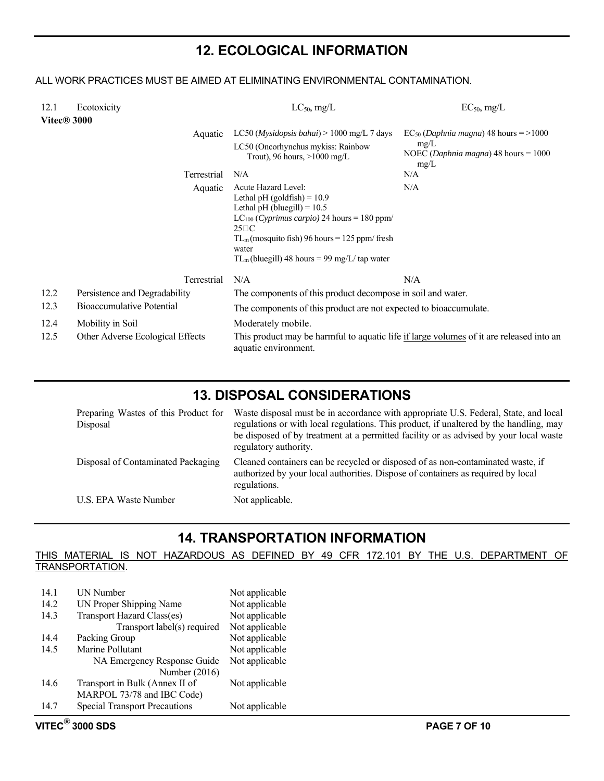### **12. ECOLOGICAL INFORMATION**

### ALL WORK PRACTICES MUST BE AIMED AT ELIMINATING ENVIRONMENTAL CONTAMINATION.

| 12.1<br>Vitec <sup>®</sup> 3000 | Ecotoxicity                      |         | $LC_{50}$ , mg/L                                                                                                                                                                                                                                                                 | $EC_{50}$ , mg/L                                                                                               |
|---------------------------------|----------------------------------|---------|----------------------------------------------------------------------------------------------------------------------------------------------------------------------------------------------------------------------------------------------------------------------------------|----------------------------------------------------------------------------------------------------------------|
|                                 |                                  | Aquatic | LC50 ( <i>Mysidopsis bahai</i> ) $> 1000$ mg/L 7 days<br>LC50 (Oncorhynchus mykiss: Rainbow<br>Trout), 96 hours, $>1000$ mg/L                                                                                                                                                    | $EC_{50}$ ( <i>Daphnia magna</i> ) 48 hours = >1000<br>mg/L<br>NOEC ( <i>Daphnia magna</i> ) 48 hours = $1000$ |
|                                 | Terrestrial                      |         | N/A                                                                                                                                                                                                                                                                              | mg/L<br>N/A                                                                                                    |
|                                 |                                  | Aquatic | Acute Hazard Level:<br>Lethal pH $(goldfish) = 10.9$<br>Lethal pH (bluegill) = $10.5$<br>LC <sub>100</sub> (Cyprimus carpio) 24 hours = 180 ppm/<br>$25\square C$<br>$TL_m$ (mosquito fish) 96 hours = 125 ppm/fresh<br>water<br>$TL_m$ (bluegill) 48 hours = 99 mg/L/ tap water | N/A                                                                                                            |
|                                 | Terrestrial                      |         | N/A                                                                                                                                                                                                                                                                              | N/A                                                                                                            |
| 12.2                            | Persistence and Degradability    |         | The components of this product decompose in soil and water.                                                                                                                                                                                                                      |                                                                                                                |
| 12.3                            | Bioaccumulative Potential        |         | The components of this product are not expected to bioaccumulate.                                                                                                                                                                                                                |                                                                                                                |
| 12.4                            | Mobility in Soil                 |         | Moderately mobile.                                                                                                                                                                                                                                                               |                                                                                                                |
| 12.5                            | Other Adverse Ecological Effects |         | This product may be harmful to aquatic life if large volumes of it are released into an<br>aquatic environment.                                                                                                                                                                  |                                                                                                                |

### **13. DISPOSAL CONSIDERATIONS**

| Preparing Wastes of this Product for<br>Disposal | Waste disposal must be in accordance with appropriate U.S. Federal, State, and local<br>regulations or with local regulations. This product, if unaltered by the handling, may<br>be disposed of by treatment at a permitted facility or as advised by your local waste<br>regulatory authority. |
|--------------------------------------------------|--------------------------------------------------------------------------------------------------------------------------------------------------------------------------------------------------------------------------------------------------------------------------------------------------|
| Disposal of Contaminated Packaging               | Cleaned containers can be recycled or disposed of as non-contaminated waste, if<br>authorized by your local authorities. Dispose of containers as required by local<br>regulations.                                                                                                              |
| U.S. EPA Waste Number                            | Not applicable.                                                                                                                                                                                                                                                                                  |

### **14. TRANSPORTATION INFORMATION**

#### THIS MATERIAL IS NOT HAZARDOUS AS DEFINED BY 49 CFR 172.101 BY THE U.S. DEPARTMENT OF TRANSPORTATION.

| 14.1 | UN Number                            | Not applicable |
|------|--------------------------------------|----------------|
| 14.2 | UN Proper Shipping Name              | Not applicable |
| 14.3 | Transport Hazard Class(es)           | Not applicable |
|      | Transport label(s) required          | Not applicable |
| 14.4 | Packing Group                        | Not applicable |
| 14.5 | Marine Pollutant                     | Not applicable |
|      | NA Emergency Response Guide          | Not applicable |
|      | Number (2016)                        |                |
| 14.6 | Transport in Bulk (Annex II of       | Not applicable |
|      | MARPOL 73/78 and IBC Code)           |                |
| 14.7 | <b>Special Transport Precautions</b> | Not applicable |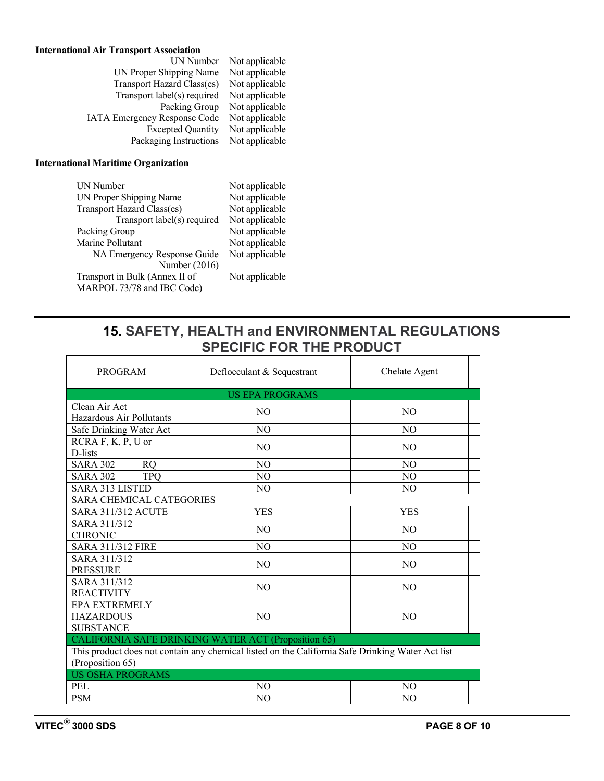### **International Air Transport Association**

| UN Number                           | Not applicable |
|-------------------------------------|----------------|
| UN Proper Shipping Name             | Not applicable |
| Transport Hazard Class(es)          | Not applicable |
| Transport label(s) required         | Not applicable |
| Packing Group                       | Not applicable |
| <b>IATA Emergency Response Code</b> | Not applicable |
| <b>Excepted Quantity</b>            | Not applicable |
| Packaging Instructions              | Not applicable |
|                                     |                |

#### **International Maritime Organization**

| <b>UN Number</b>               | Not applicable |
|--------------------------------|----------------|
| UN Proper Shipping Name        | Not applicable |
| Transport Hazard Class(es)     | Not applicable |
| Transport label(s) required    | Not applicable |
| Packing Group                  | Not applicable |
| Marine Pollutant               | Not applicable |
| NA Emergency Response Guide    | Not applicable |
| Number (2016)                  |                |
| Transport in Bulk (Annex II of | Not applicable |
| MARPOL 73/78 and IBC Code)     |                |

### **15. SAFETY, HEALTH and ENVIRONMENTAL REGULATIONS SPECIFIC FOR THE PRODUCT**  $\top$

| PROGRAM                                                                                                                                                                     | Deflocculant & Sequestrant | Chelate Agent  |  |  |
|-----------------------------------------------------------------------------------------------------------------------------------------------------------------------------|----------------------------|----------------|--|--|
|                                                                                                                                                                             | <b>US EPA PROGRAMS</b>     |                |  |  |
| Clean Air Act<br>Hazardous Air Pollutants                                                                                                                                   | N <sub>O</sub>             | N <sub>O</sub> |  |  |
| Safe Drinking Water Act                                                                                                                                                     | NO.                        | N <sub>O</sub> |  |  |
| $RCHA F, K, P, U$ or<br>D-lists                                                                                                                                             | N <sub>O</sub>             | N <sub>O</sub> |  |  |
| <b>SARA 302</b><br><b>RQ</b>                                                                                                                                                | N <sub>O</sub>             | N <sub>O</sub> |  |  |
| <b>TPO</b><br><b>SARA 302</b>                                                                                                                                               | N <sub>O</sub>             | N <sub>O</sub> |  |  |
| <b>SARA 313 LISTED</b>                                                                                                                                                      | N <sub>O</sub>             | N <sub>O</sub> |  |  |
| <b>SARA CHEMICAL CATEGORIES</b>                                                                                                                                             |                            |                |  |  |
| <b>SARA 311/312 ACUTE</b>                                                                                                                                                   | YES                        | <b>YES</b>     |  |  |
| SARA 311/312<br><b>CHRONIC</b>                                                                                                                                              | N <sub>O</sub>             | N <sub>O</sub> |  |  |
| <b>SARA 311/312 FIRE</b>                                                                                                                                                    | N <sub>O</sub>             | N <sub>O</sub> |  |  |
| SARA 311/312<br><b>PRESSURE</b>                                                                                                                                             | N <sub>O</sub>             | N <sub>O</sub> |  |  |
| SARA 311/312<br><b>REACTIVITY</b>                                                                                                                                           | NO.                        | N <sub>O</sub> |  |  |
| <b>EPA EXTREMELY</b><br><b>HAZARDOUS</b><br><b>SUBSTANCE</b>                                                                                                                | N <sub>O</sub>             | N <sub>O</sub> |  |  |
| CALIFORNIA SAFE DRINKING WATER ACT (Proposition 65)<br>This product does not contain any chemical listed on the California Safe Drinking Water Act list<br>(Proposition 65) |                            |                |  |  |
| <b>US OSHA PROGRAMS</b>                                                                                                                                                     |                            |                |  |  |
| <b>PEL</b>                                                                                                                                                                  | N <sub>O</sub>             | N <sub>O</sub> |  |  |
| <b>PSM</b>                                                                                                                                                                  | NO.                        | NO.            |  |  |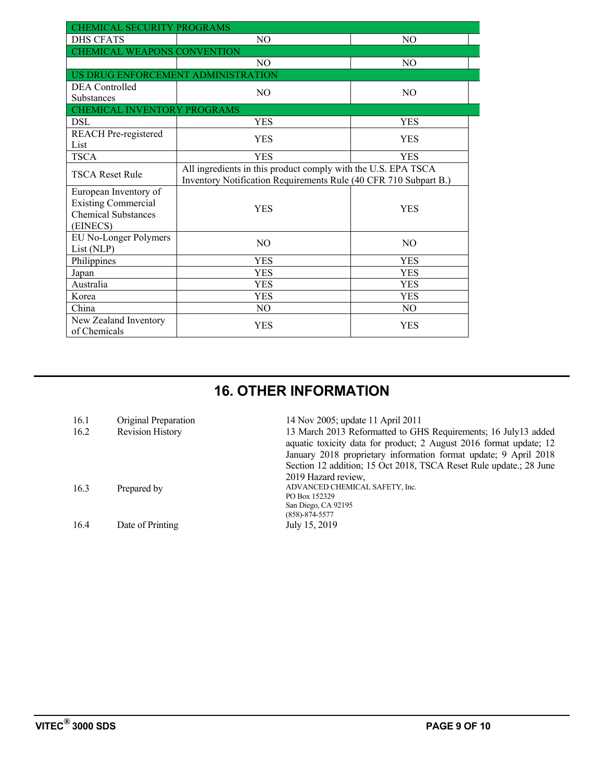| CHEMICAL SECURITY PROGRAMS         |                                                                  |                |  |  |  |
|------------------------------------|------------------------------------------------------------------|----------------|--|--|--|
| <b>DHS CFATS</b>                   | N <sub>O</sub>                                                   | N <sub>O</sub> |  |  |  |
|                                    | CHEMICAL WEAPONS CONVENTION                                      |                |  |  |  |
|                                    | N <sub>O</sub>                                                   | N <sub>O</sub> |  |  |  |
| US DRUG ENFORCEMENT ADMINISTRATION |                                                                  |                |  |  |  |
| <b>DEA</b> Controlled              | N <sub>O</sub>                                                   | N <sub>O</sub> |  |  |  |
| <b>Substances</b>                  |                                                                  |                |  |  |  |
| CHEMICAL INVENTORY PROGRAMS        |                                                                  |                |  |  |  |
| <b>DSL</b>                         | <b>YES</b>                                                       | <b>YES</b>     |  |  |  |
| <b>REACH</b> Pre-registered        | <b>YES</b>                                                       | <b>YES</b>     |  |  |  |
| List                               |                                                                  |                |  |  |  |
| <b>TSCA</b>                        | <b>YES</b>                                                       | <b>YES</b>     |  |  |  |
| <b>TSCA Reset Rule</b>             | All ingredients in this product comply with the U.S. EPA TSCA    |                |  |  |  |
|                                    | Inventory Notification Requirements Rule (40 CFR 710 Subpart B.) |                |  |  |  |
| European Inventory of              |                                                                  |                |  |  |  |
| <b>Existing Commercial</b>         | <b>YES</b>                                                       | <b>YES</b>     |  |  |  |
| <b>Chemical Substances</b>         |                                                                  |                |  |  |  |
| (EINECS)                           |                                                                  |                |  |  |  |
| EU No-Longer Polymers              | N <sub>O</sub>                                                   | N <sub>O</sub> |  |  |  |
| List (NLP)                         |                                                                  |                |  |  |  |
| Philippines                        | <b>YES</b>                                                       | <b>YES</b>     |  |  |  |
| Japan                              | <b>YES</b>                                                       | <b>YES</b>     |  |  |  |
| Australia                          | <b>YES</b>                                                       | <b>YES</b>     |  |  |  |
| Korea                              | <b>YES</b>                                                       | <b>YES</b>     |  |  |  |
| China                              | N <sub>O</sub>                                                   | N <sub>O</sub> |  |  |  |
| New Zealand Inventory              | YES                                                              | <b>YES</b>     |  |  |  |
| of Chemicals                       |                                                                  |                |  |  |  |

# **16. OTHER INFORMATION**

| 16.1 | Original Preparation | 14 Nov 2005; update 11 April 2011                                                                                                    |
|------|----------------------|--------------------------------------------------------------------------------------------------------------------------------------|
| 16.2 | Revision History     | 13 March 2013 Reformatted to GHS Requirements; 16 July13 added<br>aquatic toxicity data for product; 2 August 2016 format update; 12 |
|      |                      | January 2018 proprietary information format update; 9 April 2018                                                                     |
|      |                      | Section 12 addition; 15 Oct 2018, TSCA Reset Rule update.; 28 June                                                                   |
|      |                      | 2019 Hazard review.                                                                                                                  |
| 16.3 | Prepared by          | ADVANCED CHEMICAL SAFETY, Inc.                                                                                                       |
|      |                      | PO Box 152329                                                                                                                        |
|      |                      | San Diego, CA 92195                                                                                                                  |
|      |                      | $(858) - 874 - 5577$                                                                                                                 |
| 16.4 | Date of Printing     | July 15, 2019                                                                                                                        |